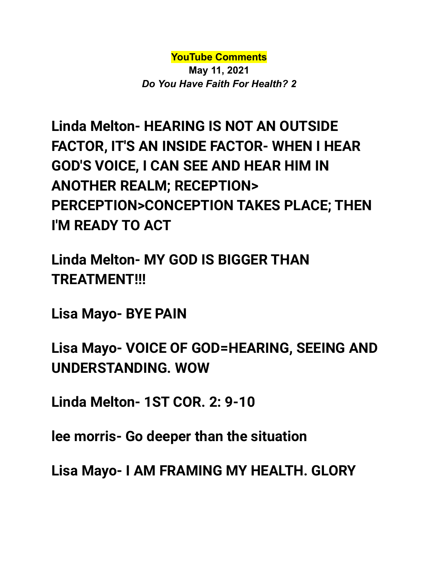**YouTube Comments**

**May 11, 2021** *Do You Have Faith For Health? 2*

**Linda Melton- HEARING IS NOT AN OUTSIDE FACTOR, IT'S AN INSIDE FACTOR- WHEN I HEAR GOD'S VOICE, I CAN SEE AND HEAR HIM IN ANOTHER REALM; RECEPTION> PERCEPTION>CONCEPTION TAKES PLACE; THEN I'M READY TO ACT**

**Linda Melton- MY GOD IS BIGGER THAN TREATMENT!!!**

**Lisa Mayo- BYE PAIN**

**Lisa Mayo- VOICE OF GOD=HEARING, SEEING AND UNDERSTANDING. WOW**

**Linda Melton- 1ST COR. 2: 9-10**

**lee morris- Go deeper than the situation**

**Lisa Mayo- I AM FRAMING MY HEALTH. GLORY**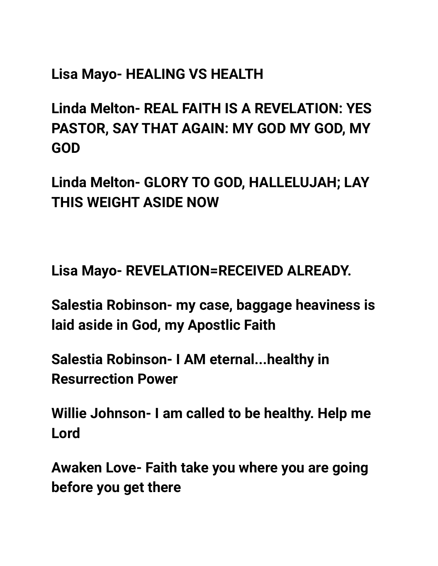## **Lisa Mayo- HEALING VS HEALTH**

**Linda Melton- REAL FAITH IS A REVELATION: YES PASTOR, SAY THAT AGAIN: MY GOD MY GOD, MY GOD**

**Linda Melton- GLORY TO GOD, HALLELUJAH; LAY THIS WEIGHT ASIDE NOW**

**Lisa Mayo- REVELATION=RECEIVED ALREADY.**

**Salestia Robinson- my case, baggage heaviness is laid aside in God, my Apostlic Faith**

**Salestia Robinson- I AM eternal...healthy in Resurrection Power**

**Willie Johnson- I am called to be healthy. Help me Lord**

**Awaken Love- Faith take you where you are going before you get there**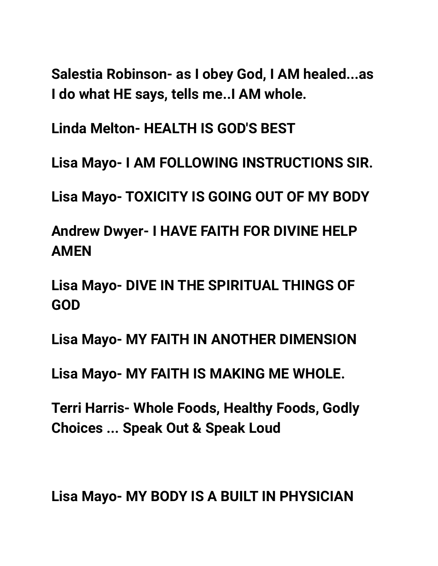**Salestia Robinson- as I obey God, I AM healed...as I do what HE says, tells me..I AM whole.**

**Linda Melton- HEALTH IS GOD'S BEST**

**Lisa Mayo- I AM FOLLOWING INSTRUCTIONS SIR.**

**Lisa Mayo- TOXICITY IS GOING OUT OF MY BODY**

**Andrew Dwyer- I HAVE FAITH FOR DIVINE HELP AMEN**

**Lisa Mayo- DIVE IN THE SPIRITUAL THINGS OF GOD**

**Lisa Mayo- MY FAITH IN ANOTHER DIMENSION**

**Lisa Mayo- MY FAITH IS MAKING ME WHOLE.**

**Terri Harris- Whole Foods, Healthy Foods, Godly Choices ... Speak Out & Speak Loud**

**Lisa Mayo- MY BODY IS A BUILT IN PHYSICIAN**